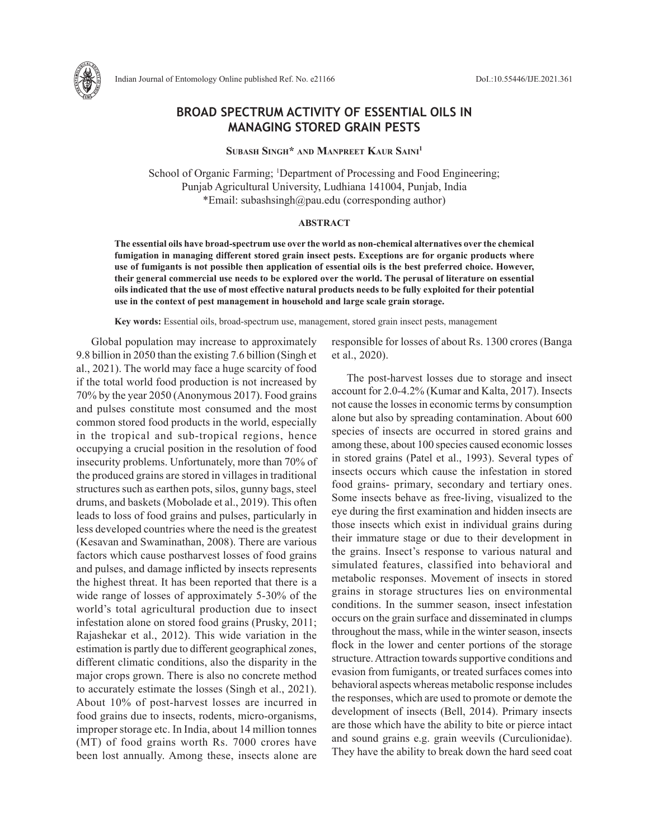

# **BROAD SPECTRUM ACTIVITY OF ESSENTIAL OILS IN MANAGING STORED GRAIN PESTS**

**Subash Singh\* and Manpreet Kaur Saini1**

School of Organic Farming; <sup>1</sup>Department of Processing and Food Engineering; Punjab Agricultural University, Ludhiana 141004, Punjab, India \*Email: subashsingh@pau.edu (corresponding author)

## **ABSTRACT**

**The essential oils have broad-spectrum use over the world as non-chemical alternatives over the chemical fumigation in managing different stored grain insect pests. Exceptions are for organic products where use of fumigants is not possible then application of essential oils is the best preferred choice. However, their general commercial use needs to be explored over the world. The perusal of literature on essential oils indicated that the use of most effective natural products needs to be fully exploited for their potential use in the context of pest management in household and large scale grain storage.** 

**Key words:** Essential oils, broad-spectrum use, management, stored grain insect pests, management

Global population may increase to approximately 9.8 billion in 2050 than the existing 7.6 billion (Singh et al., 2021). The world may face a huge scarcity of food if the total world food production is not increased by 70% by the year 2050 (Anonymous 2017). Food grains and pulses constitute most consumed and the most common stored food products in the world, especially in the tropical and sub-tropical regions, hence occupying a crucial position in the resolution of food insecurity problems. Unfortunately, more than 70% of the produced grains are stored in villages in traditional structures such as earthen pots, silos, gunny bags, steel drums, and baskets (Mobolade et al., 2019). This often leads to loss of food grains and pulses, particularly in less developed countries where the need is the greatest (Kesavan and Swaminathan, 2008). There are various factors which cause postharvest losses of food grains and pulses, and damage inflicted by insects represents the highest threat. It has been reported that there is a wide range of losses of approximately 5-30% of the world's total agricultural production due to insect infestation alone on stored food grains (Prusky, 2011; Rajashekar et al., 2012). This wide variation in the estimation is partly due to different geographical zones, different climatic conditions, also the disparity in the major crops grown. There is also no concrete method to accurately estimate the losses (Singh et al., 2021). About 10% of post-harvest losses are incurred in food grains due to insects, rodents, micro-organisms, improper storage etc. In India, about 14 million tonnes (MT) of food grains worth Rs. 7000 crores have been lost annually. Among these, insects alone are responsible for losses of about Rs. 1300 crores (Banga et al., 2020).

The post-harvest losses due to storage and insect account for 2.0-4.2% (Kumar and Kalta, 2017). Insects not cause the losses in economic terms by consumption alone but also by spreading contamination. About 600 species of insects are occurred in stored grains and among these, about 100 species caused economic losses in stored grains (Patel et al., 1993). Several types of insects occurs which cause the infestation in stored food grains- primary, secondary and tertiary ones. Some insects behave as free-living, visualized to the eye during the first examination and hidden insects are those insects which exist in individual grains during their immature stage or due to their development in the grains. Insect's response to various natural and simulated features, classified into behavioral and metabolic responses. Movement of insects in stored grains in storage structures lies on environmental conditions. In the summer season, insect infestation occurs on the grain surface and disseminated in clumps throughout the mass, while in the winter season, insects flock in the lower and center portions of the storage structure. Attraction towards supportive conditions and evasion from fumigants, or treated surfaces comes into behavioral aspects whereas metabolic response includes the responses, which are used to promote or demote the development of insects (Bell, 2014). Primary insects are those which have the ability to bite or pierce intact and sound grains e.g. grain weevils (Curculionidae). They have the ability to break down the hard seed coat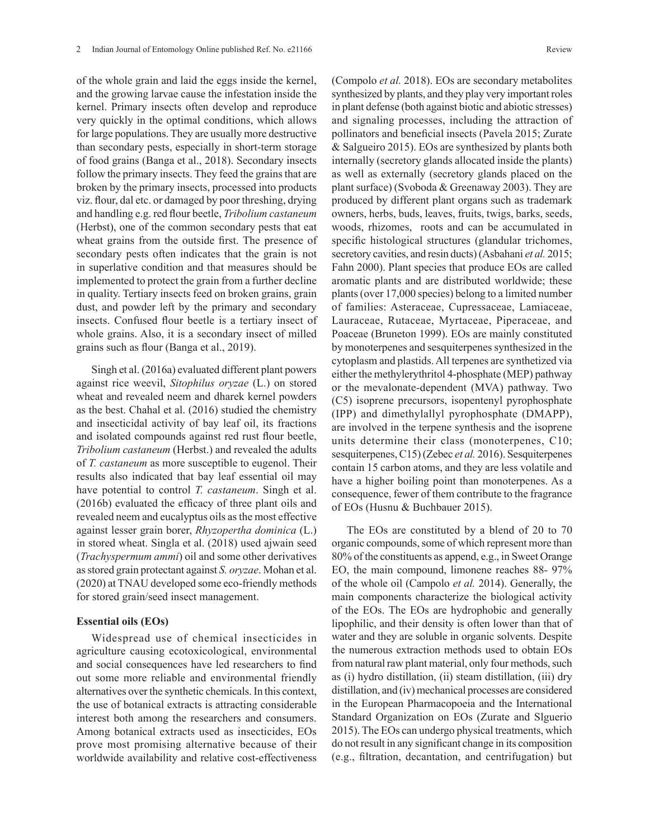of the whole grain and laid the eggs inside the kernel, and the growing larvae cause the infestation inside the kernel. Primary insects often develop and reproduce very quickly in the optimal conditions, which allows for large populations. They are usually more destructive than secondary pests, especially in short-term storage of food grains (Banga et al., 2018). Secondary insects follow the primary insects. They feed the grains that are broken by the primary insects, processed into products viz. flour, dal etc. or damaged by poor threshing, drying and handling e.g. red flour beetle, *Tribolium castaneum*  (Herbst), one of the common secondary pests that eat wheat grains from the outside first. The presence of secondary pests often indicates that the grain is not in superlative condition and that measures should be implemented to protect the grain from a further decline in quality. Tertiary insects feed on broken grains, grain dust, and powder left by the primary and secondary insects. Confused flour beetle is a tertiary insect of whole grains. Also, it is a secondary insect of milled grains such as flour (Banga et al., 2019).

Singh et al. (2016a) evaluated different plant powers against rice weevil, *Sitophilus oryzae* (L.) on stored wheat and revealed neem and dharek kernel powders as the best. Chahal et al. (2016) studied the chemistry and insecticidal activity of bay leaf oil, its fractions and isolated compounds against red rust flour beetle, *Tribolium castaneum* (Herbst.) and revealed the adults of *T. castaneum* as more susceptible to eugenol. Their results also indicated that bay leaf essential oil may have potential to control *T. castaneum*. Singh et al. (2016b) evaluated the efficacy of three plant oils and revealed neem and eucalyptus oils as the most effective against lesser grain borer, *Rhyzopertha dominica* (L.) in stored wheat. Singla et al. (2018) used ajwain seed (*Trachyspermum ammi*) oil and some other derivatives as stored grain protectant against *S. oryzae*. Mohan et al. (2020) at TNAU developed some eco-friendly methods for stored grain/seed insect management.

### **Essential oils (EOs)**

Widespread use of chemical insecticides in agriculture causing ecotoxicological, environmental and social consequences have led researchers to find out some more reliable and environmental friendly alternatives over the synthetic chemicals. In this context, the use of botanical extracts is attracting considerable interest both among the researchers and consumers. Among botanical extracts used as insecticides, EOs prove most promising alternative because of their worldwide availability and relative cost-effectiveness (Compolo *et al.* 2018). EOs are secondary metabolites synthesized by plants, and they play very important roles in plant defense (both against biotic and abiotic stresses) and signaling processes, including the attraction of pollinators and beneficial insects (Pavela 2015; Zurate & Salgueiro 2015). EOs are synthesized by plants both internally (secretory glands allocated inside the plants) as well as externally (secretory glands placed on the plant surface) (Svoboda & Greenaway 2003). They are produced by different plant organs such as trademark owners, herbs, buds, leaves, fruits, twigs, barks, seeds, woods, rhizomes, roots and can be accumulated in specific histological structures (glandular trichomes, secretory cavities, and resin ducts) (Asbahani *et al.* 2015; Fahn 2000). Plant species that produce EOs are called aromatic plants and are distributed worldwide; these plants (over 17,000 species) belong to a limited number of families: Asteraceae, Cupressaceae, Lamiaceae, Lauraceae, Rutaceae, Myrtaceae, Piperaceae, and Poaceae (Bruneton 1999). EOs are mainly constituted by monoterpenes and sesquiterpenes synthesized in the cytoplasm and plastids. All terpenes are synthetized via either the methylerythritol 4-phosphate (MEP) pathway or the mevalonate-dependent (MVA) pathway. Two (C5) isoprene precursors, isopentenyl pyrophosphate (IPP) and dimethylallyl pyrophosphate (DMAPP), are involved in the terpene synthesis and the isoprene units determine their class (monoterpenes, C10; sesquiterpenes, C15) (Zebec *et al.* 2016). Sesquiterpenes contain 15 carbon atoms, and they are less volatile and have a higher boiling point than monoterpenes. As a consequence, fewer of them contribute to the fragrance of EOs (Husnu & Buchbauer 2015).

The EOs are constituted by a blend of 20 to 70 organic compounds, some of which represent more than 80% of the constituents as append, e.g., in Sweet Orange EO, the main compound, limonene reaches 88- 97% of the whole oil (Campolo *et al.* 2014). Generally, the main components characterize the biological activity of the EOs. The EOs are hydrophobic and generally lipophilic, and their density is often lower than that of water and they are soluble in organic solvents. Despite the numerous extraction methods used to obtain EOs from natural raw plant material, only four methods, such as (i) hydro distillation, (ii) steam distillation, (iii) dry distillation, and (iv) mechanical processes are considered in the European Pharmacopoeia and the International Standard Organization on EOs (Zurate and Slguerio 2015). The EOs can undergo physical treatments, which do not result in any significant change in its composition (e.g., filtration, decantation, and centrifugation) but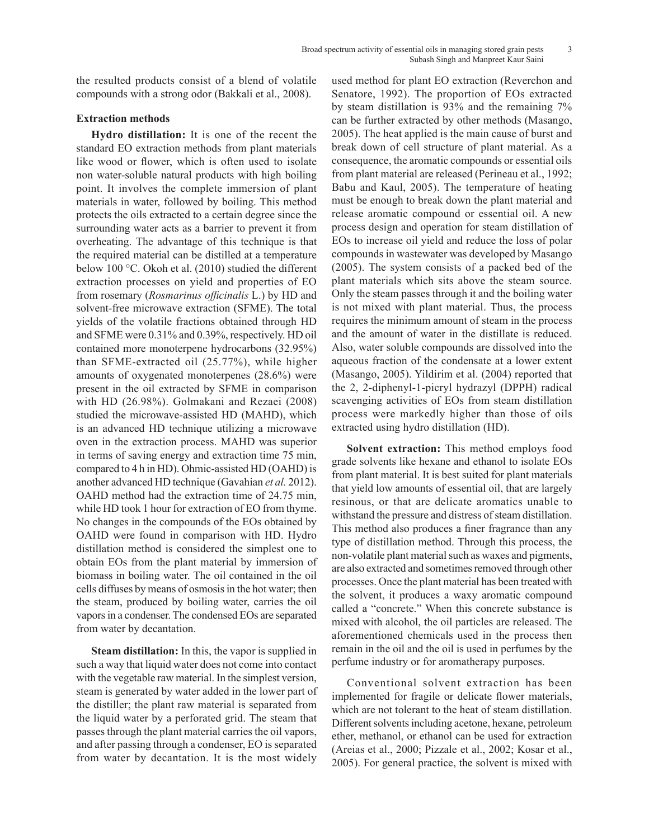the resulted products consist of a blend of volatile compounds with a strong odor (Bakkali et al., 2008).

# **Extraction methods**

**Hydro distillation:** It is one of the recent the standard EO extraction methods from plant materials like wood or flower, which is often used to isolate non water-soluble natural products with high boiling point. It involves the complete immersion of plant materials in water, followed by boiling. This method protects the oils extracted to a certain degree since the surrounding water acts as a barrier to prevent it from overheating. The advantage of this technique is that the required material can be distilled at a temperature below 100 °C. Okoh et al. (2010) studied the different extraction processes on yield and properties of EO from rosemary (*Rosmarinus officinalis* L.) by HD and solvent-free microwave extraction (SFME). The total yields of the volatile fractions obtained through HD and SFME were 0.31% and 0.39%, respectively. HD oil contained more monoterpene hydrocarbons (32.95%) than SFME-extracted oil (25.77%), while higher amounts of oxygenated monoterpenes (28.6%) were present in the oil extracted by SFME in comparison with HD (26.98%). Golmakani and Rezaei (2008) studied the microwave-assisted HD (MAHD), which is an advanced HD technique utilizing a microwave oven in the extraction process. MAHD was superior in terms of saving energy and extraction time 75 min, compared to 4 h in HD). Ohmic-assisted HD (OAHD) is another advanced HD technique (Gavahian *et al.* 2012). OAHD method had the extraction time of 24.75 min, while HD took 1 hour for extraction of EO from thyme. No changes in the compounds of the EOs obtained by OAHD were found in comparison with HD. Hydro distillation method is considered the simplest one to obtain EOs from the plant material by immersion of biomass in boiling water. The oil contained in the oil cells diffuses by means of osmosis in the hot water; then the steam, produced by boiling water, carries the oil vapors in a condenser. The condensed EOs are separated from water by decantation.

**Steam distillation:** In this, the vapor is supplied in such a way that liquid water does not come into contact with the vegetable raw material. In the simplest version, steam is generated by water added in the lower part of the distiller; the plant raw material is separated from the liquid water by a perforated grid. The steam that passes through the plant material carries the oil vapors, and after passing through a condenser, EO is separated from water by decantation. It is the most widely

used method for plant EO extraction (Reverchon and Senatore, 1992). The proportion of EOs extracted by steam distillation is 93% and the remaining 7% can be further extracted by other methods (Masango, 2005). The heat applied is the main cause of burst and break down of cell structure of plant material. As a consequence, the aromatic compounds or essential oils from plant material are released (Perineau et al., 1992; Babu and Kaul, 2005). The temperature of heating must be enough to break down the plant material and release aromatic compound or essential oil. A new process design and operation for steam distillation of EOs to increase oil yield and reduce the loss of polar compounds in wastewater was developed by Masango (2005). The system consists of a packed bed of the plant materials which sits above the steam source. Only the steam passes through it and the boiling water is not mixed with plant material. Thus, the process requires the minimum amount of steam in the process and the amount of water in the distillate is reduced. Also, water soluble compounds are dissolved into the aqueous fraction of the condensate at a lower extent (Masango, 2005). Yildirim et al. (2004) reported that the 2, 2-diphenyl-1-picryl hydrazyl (DPPH) radical scavenging activities of EOs from steam distillation process were markedly higher than those of oils extracted using hydro distillation (HD).

**Solvent extraction:** This method employs food grade solvents like hexane and ethanol to isolate EOs from plant material. It is best suited for plant materials that yield low amounts of essential oil, that are largely resinous, or that are delicate aromatics unable to withstand the pressure and distress of steam distillation. This method also produces a finer fragrance than any type of distillation method. Through this process, the non-volatile plant material such as waxes and pigments, are also extracted and sometimes removed through other processes. Once the plant material has been treated with the solvent, it produces a waxy aromatic compound called a "concrete." When this concrete substance is mixed with alcohol, the oil particles are released. The aforementioned chemicals used in the process then remain in the oil and the oil is used in perfumes by the perfume industry or for aromatherapy purposes.

Conventional solvent extraction has been implemented for fragile or delicate flower materials, which are not tolerant to the heat of steam distillation. Different solvents including acetone, hexane, petroleum ether, methanol, or ethanol can be used for extraction (Areias et al., 2000; Pizzale et al., 2002; Kosar et al., 2005). For general practice, the solvent is mixed with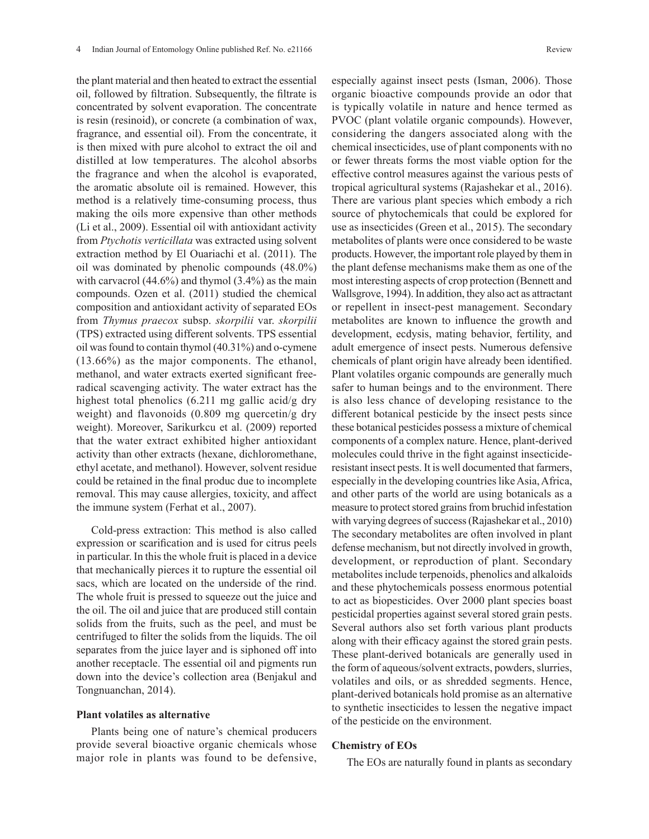the plant material and then heated to extract the essential oil, followed by filtration. Subsequently, the filtrate is concentrated by solvent evaporation. The concentrate is resin (resinoid), or concrete (a combination of wax, fragrance, and essential oil). From the concentrate, it is then mixed with pure alcohol to extract the oil and distilled at low temperatures. The alcohol absorbs the fragrance and when the alcohol is evaporated, the aromatic absolute oil is remained. However, this method is a relatively time-consuming process, thus making the oils more expensive than other methods (Li et al., 2009). Essential oil with antioxidant activity from *Ptychotis verticillata* was extracted using solvent extraction method by El Ouariachi et al. (2011). The oil was dominated by phenolic compounds (48.0%) with carvacrol  $(44.6\%)$  and thymol  $(3.4\%)$  as the main compounds. Ozen et al. (2011) studied the chemical composition and antioxidant activity of separated EOs from *Thymus praecox* subsp. *skorpilii* var. *skorpilii* (TPS) extracted using different solvents. TPS essential oil was found to contain thymol (40.31%) and o-cymene (13.66%) as the major components. The ethanol, methanol, and water extracts exerted significant freeradical scavenging activity. The water extract has the highest total phenolics (6.211 mg gallic acid/g dry weight) and flavonoids (0.809 mg quercetin/g dry weight). Moreover, Sarikurkcu et al. (2009) reported that the water extract exhibited higher antioxidant activity than other extracts (hexane, dichloromethane, ethyl acetate, and methanol). However, solvent residue could be retained in the final produc due to incomplete removal. This may cause allergies, toxicity, and affect the immune system (Ferhat et al., 2007).

Cold-press extraction: This method is also called expression or scarification and is used for citrus peels in particular. In this the whole fruit is placed in a device that mechanically pierces it to rupture the essential oil sacs, which are located on the underside of the rind. The whole fruit is pressed to squeeze out the juice and the oil. The oil and juice that are produced still contain solids from the fruits, such as the peel, and must be centrifuged to filter the solids from the liquids. The oil separates from the juice layer and is siphoned off into another receptacle. The essential oil and pigments run down into the device's collection area (Benjakul and Tongnuanchan, 2014).

## **Plant volatiles as alternative**

Plants being one of nature's chemical producers provide several bioactive organic chemicals whose major role in plants was found to be defensive, especially against insect pests (Isman, 2006). Those organic bioactive compounds provide an odor that is typically volatile in nature and hence termed as PVOC (plant volatile organic compounds). However, considering the dangers associated along with the chemical insecticides, use of plant components with no or fewer threats forms the most viable option for the effective control measures against the various pests of tropical agricultural systems (Rajashekar et al., 2016). There are various plant species which embody a rich source of phytochemicals that could be explored for use as insecticides (Green et al., 2015). The secondary metabolites of plants were once considered to be waste products. However, the important role played by them in the plant defense mechanisms make them as one of the most interesting aspects of crop protection (Bennett and Wallsgrove, 1994). In addition, they also act as attractant or repellent in insect-pest management. Secondary metabolites are known to influence the growth and development, ecdysis, mating behavior, fertility, and adult emergence of insect pests. Numerous defensive chemicals of plant origin have already been identified. Plant volatiles organic compounds are generally much safer to human beings and to the environment. There is also less chance of developing resistance to the different botanical pesticide by the insect pests since these botanical pesticides possess a mixture of chemical components of a complex nature. Hence, plant-derived molecules could thrive in the fight against insecticideresistant insect pests. It is well documented that farmers, especially in the developing countries like Asia, Africa, and other parts of the world are using botanicals as a measure to protect stored grains from bruchid infestation with varying degrees of success (Rajashekar et al., 2010) The secondary metabolites are often involved in plant defense mechanism, but not directly involved in growth, development, or reproduction of plant. Secondary metabolites include terpenoids, phenolics and alkaloids and these phytochemicals possess enormous potential to act as biopesticides. Over 2000 plant species boast pesticidal properties against several stored grain pests. Several authors also set forth various plant products along with their efficacy against the stored grain pests. These plant-derived botanicals are generally used in the form of aqueous/solvent extracts, powders, slurries, volatiles and oils, or as shredded segments. Hence, plant-derived botanicals hold promise as an alternative to synthetic insecticides to lessen the negative impact of the pesticide on the environment.

### **Chemistry of EOs**

The EOs are naturally found in plants as secondary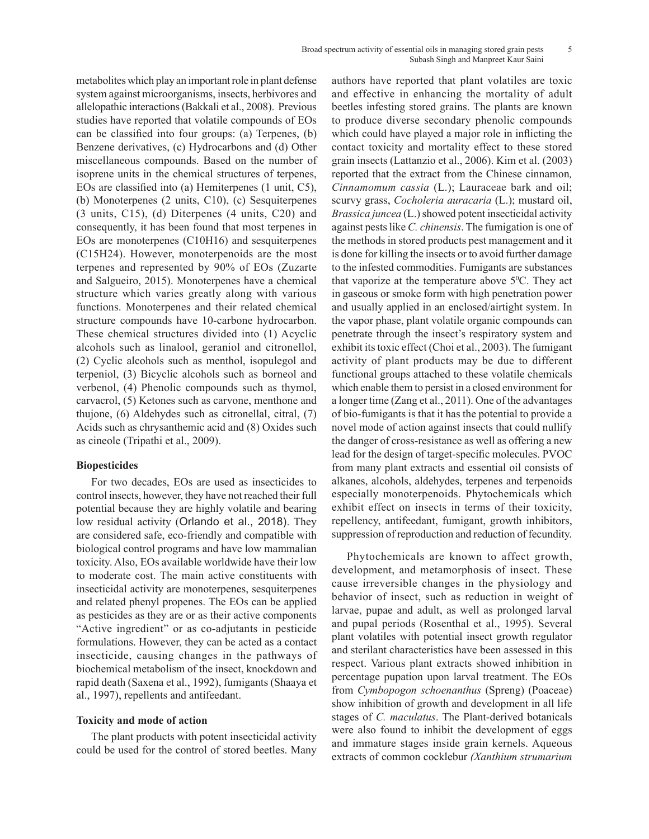#### Broad spectrum activity of essential oils in managing stored grain pests 5 Subash Singh and Manpreet Kaur Saini

metabolites which play an important role in plant defense system against microorganisms, insects, herbivores and allelopathic interactions (Bakkali et al., 2008). Previous studies have reported that volatile compounds of EOs can be classified into four groups: (a) Terpenes, (b) Benzene derivatives, (c) Hydrocarbons and (d) Other miscellaneous compounds. Based on the number of isoprene units in the chemical structures of terpenes, EOs are classified into (a) Hemiterpenes (1 unit, C5), (b) Monoterpenes (2 units, C10), (c) Sesquiterpenes (3 units, C15), (d) Diterpenes (4 units, C20) and consequently, it has been found that most terpenes in EOs are monoterpenes (C10H16) and sesquiterpenes (C15H24). However, monoterpenoids are the most terpenes and represented by 90% of EOs (Zuzarte and Salgueiro, 2015). Monoterpenes have a chemical structure which varies greatly along with various functions. Monoterpenes and their related chemical structure compounds have 10-carbone hydrocarbon. These chemical structures divided into (1) Acyclic alcohols such as linalool, geraniol and citronellol, (2) Cyclic alcohols such as menthol, isopulegol and terpeniol, (3) Bicyclic alcohols such as borneol and verbenol, (4) Phenolic compounds such as thymol, carvacrol, (5) Ketones such as carvone, menthone and thujone, (6) Aldehydes such as citronellal, citral, (7) Acids such as chrysanthemic acid and (8) Oxides such as cineole (Tripathi et al., 2009).

# **Biopesticides**

For two decades, EOs are used as insecticides to control insects, however, they have not reached their full potential because they are highly volatile and bearing low residual activity (Orlando et al., 2018). They are considered safe, eco-friendly and compatible with biological control programs and have low mammalian toxicity. Also, EOs available worldwide have their low to moderate cost. The main active constituents with insecticidal activity are monoterpenes, sesquiterpenes and related phenyl propenes. The EOs can be applied as pesticides as they are or as their active components "Active ingredient" or as co-adjutants in pesticide formulations. However, they can be acted as a contact insecticide, causing changes in the pathways of biochemical metabolism of the insect, knockdown and rapid death (Saxena et al., 1992), fumigants (Shaaya et al., 1997), repellents and antifeedant.

### **Toxicity and mode of action**

The plant products with potent insecticidal activity could be used for the control of stored beetles. Many authors have reported that plant volatiles are toxic and effective in enhancing the mortality of adult beetles infesting stored grains. The plants are known to produce diverse secondary phenolic compounds which could have played a major role in inflicting the contact toxicity and mortality effect to these stored grain insects (Lattanzio et al., 2006). Kim et al. (2003) reported that the extract from the Chinese cinnamon*, Cinnamomum cassia* (L.); Lauraceae bark and oil; scurvy grass, *Cocholeria auracaria* (L.); mustard oil, *Brassica juncea* (L.) showed potent insecticidal activity against pests like *C. chinensis*. The fumigation is one of the methods in stored products pest management and it is done for killing the insects or to avoid further damage to the infested commodities. Fumigants are substances that vaporize at the temperature above  $5^{\circ}$ C. They act in gaseous or smoke form with high penetration power and usually applied in an enclosed/airtight system. In the vapor phase, plant volatile organic compounds can penetrate through the insect's respiratory system and exhibit its toxic effect (Choi et al., 2003). The fumigant activity of plant products may be due to different functional groups attached to these volatile chemicals which enable them to persist in a closed environment for a longer time (Zang et al., 2011). One of the advantages of bio-fumigants is that it has the potential to provide a novel mode of action against insects that could nullify the danger of cross-resistance as well as offering a new lead for the design of target-specific molecules. PVOC from many plant extracts and essential oil consists of alkanes, alcohols, aldehydes, terpenes and terpenoids especially monoterpenoids. Phytochemicals which exhibit effect on insects in terms of their toxicity, repellency, antifeedant, fumigant, growth inhibitors, suppression of reproduction and reduction of fecundity.

Phytochemicals are known to affect growth, development, and metamorphosis of insect. These cause irreversible changes in the physiology and behavior of insect, such as reduction in weight of larvae, pupae and adult, as well as prolonged larval and pupal periods (Rosenthal et al., 1995). Several plant volatiles with potential insect growth regulator and sterilant characteristics have been assessed in this respect. Various plant extracts showed inhibition in percentage pupation upon larval treatment. The EOs from *Cymbopogon schoenanthus* (Spreng) (Poaceae) show inhibition of growth and development in all life stages of *C. maculatus*. The Plant-derived botanicals were also found to inhibit the development of eggs and immature stages inside grain kernels. Aqueous extracts of common cocklebur *(Xanthium strumarium*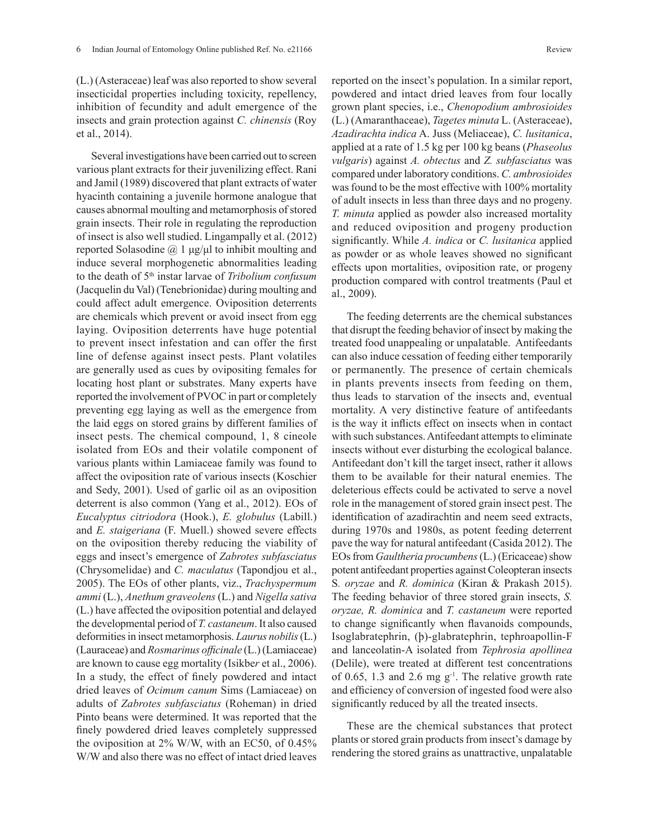(L.) (Asteraceae) leaf was also reported to show several insecticidal properties including toxicity, repellency, inhibition of fecundity and adult emergence of the insects and grain protection against *C. chinensis* (Roy et al., 2014).

Several investigations have been carried out to screen various plant extracts for their juvenilizing effect. Rani and Jamil (1989) discovered that plant extracts of water hyacinth containing a juvenile hormone analogue that causes abnormal moulting and metamorphosis of stored grain insects. Their role in regulating the reproduction of insect is also well studied. Lingampally et al. (2012) reported Solasodine  $($ a $)$  1 μg/μl to inhibit moulting and induce several morphogenetic abnormalities leading to the death of 5th instar larvae of *Tribolium confusum* (Jacquelin du Val) (Tenebrionidae) during moulting and could affect adult emergence. Oviposition deterrents are chemicals which prevent or avoid insect from egg laying. Oviposition deterrents have huge potential to prevent insect infestation and can offer the first line of defense against insect pests. Plant volatiles are generally used as cues by ovipositing females for locating host plant or substrates. Many experts have reported the involvement of PVOC in part or completely preventing egg laying as well as the emergence from the laid eggs on stored grains by different families of insect pests. The chemical compound, 1, 8 cineole isolated from EOs and their volatile component of various plants within Lamiaceae family was found to affect the oviposition rate of various insects (Koschier and Sedy, 2001). Used of garlic oil as an oviposition deterrent is also common (Yang et al., 2012). EOs of *Eucalyptus citriodora* (Hook.), *E. globulus* (Labill.) and *E. staigeriana* (F. Muell.) showed severe effects on the oviposition thereby reducing the viability of eggs and insect's emergence of *Zabrotes subfasciatus* (Chrysomelidae) and *C. maculatus* (Tapondjou et al., 2005). The EOs of other plants, viz., *Trachyspermum ammi* (L.), *Anethum graveolens* (L.) and *Nigella sativa* (L.) have affected the oviposition potential and delayed the developmental period of *T. castaneum*. It also caused deformities in insect metamorphosis. *Laurus nobilis* (L.) (Lauraceae) and *Rosmarinus officinale* (L.) (Lamiaceae) are known to cause egg mortality (Isikbe*r* et al., 2006). In a study, the effect of finely powdered and intact dried leaves of *Ocimum canum* Sims (Lamiaceae) on adults of *Zabrotes subfasciatus* (Roheman) in dried Pinto beans were determined. It was reported that the finely powdered dried leaves completely suppressed the oviposition at 2% W/W, with an EC50, of 0.45% W/W and also there was no effect of intact dried leaves

reported on the insect's population. In a similar report, powdered and intact dried leaves from four locally grown plant species, i.e., *Chenopodium ambrosioides* (L.) (Amaranthaceae), *Tagetes minuta* L. (Asteraceae), *Azadirachta indica* A. Juss (Meliaceae), *C. lusitanica*, applied at a rate of 1.5 kg per 100 kg beans (*Phaseolus vulgaris*) against *A. obtectus* and *Z. subfasciatus* was compared under laboratory conditions. *C. ambrosioides* was found to be the most effective with 100% mortality of adult insects in less than three days and no progeny. *T. minuta* applied as powder also increased mortality and reduced oviposition and progeny production significantly. While *A. indica* or *C. lusitanica* applied as powder or as whole leaves showed no significant effects upon mortalities, oviposition rate, or progeny production compared with control treatments (Paul et al., 2009).

The feeding deterrents are the chemical substances that disrupt the feeding behavior of insect by making the treated food unappealing or unpalatable. Antifeedants can also induce cessation of feeding either temporarily or permanently. The presence of certain chemicals in plants prevents insects from feeding on them, thus leads to starvation of the insects and, eventual mortality. A very distinctive feature of antifeedants is the way it inflicts effect on insects when in contact with such substances. Antifeedant attempts to eliminate insects without ever disturbing the ecological balance. Antifeedant don't kill the target insect, rather it allows them to be available for their natural enemies. The deleterious effects could be activated to serve a novel role in the management of stored grain insect pest. The identification of azadirachtin and neem seed extracts, during 1970s and 1980s, as potent feeding deterrent pave the way for natural antifeedant (Casida 2012). The EOs from *Gaultheria procumbens* (L.) (Ericaceae) show potent antifeedant properties against Coleopteran insects S*. oryzae* and *R. dominica* (Kiran & Prakash 2015). The feeding behavior of three stored grain insects, *S. oryzae, R. dominica* and *T. castaneum* were reported to change significantly when flavanoids compounds, Isoglabratephrin, (þ)-glabratephrin, tephroapollin-F and lanceolatin-A isolated from *Tephrosia apollinea* (Delile), were treated at different test concentrations of 0.65, 1.3 and 2.6 mg  $g^{-1}$ . The relative growth rate and efficiency of conversion of ingested food were also significantly reduced by all the treated insects.

These are the chemical substances that protect plants or stored grain products from insect's damage by rendering the stored grains as unattractive, unpalatable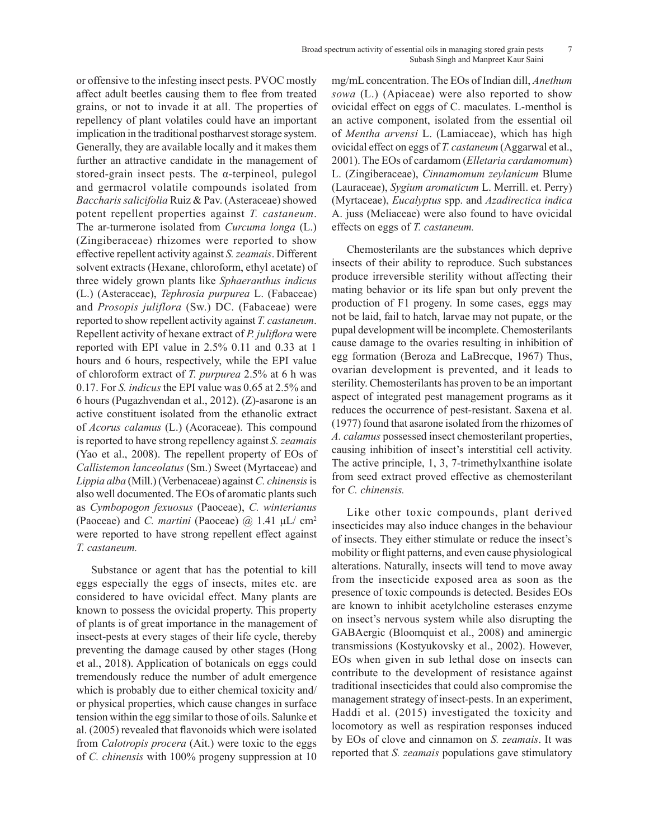or offensive to the infesting insect pests. PVOC mostly affect adult beetles causing them to flee from treated grains, or not to invade it at all. The properties of repellency of plant volatiles could have an important implication in the traditional postharvest storage system. Generally, they are available locally and it makes them further an attractive candidate in the management of stored-grain insect pests. The α-terpineol, pulegol and germacrol volatile compounds isolated from *Baccharis salicifolia* Ruiz & Pav. (Asteraceae) showed potent repellent properties against *T. castaneum*. The ar-turmerone isolated from *Curcuma longa* (L.) (Zingiberaceae) rhizomes were reported to show effective repellent activity against *S. zeamais*. Different solvent extracts (Hexane, chloroform, ethyl acetate) of three widely grown plants like *Sphaeranthus indicus* (L.) (Asteraceae), *Tephrosia purpurea* L. (Fabaceae) and *Prosopis juliflora* (Sw.) DC. (Fabaceae) were reported to show repellent activity against *T. castaneum*. Repellent activity of hexane extract of *P. juliflora* were reported with EPI value in 2.5% 0.11 and 0.33 at 1 hours and 6 hours, respectively, while the EPI value of chloroform extract of *T. purpurea* 2.5% at 6 h was 0.17. For *S. indicus* the EPI value was 0.65 at 2.5% and 6 hours (Pugazhvendan et al., 2012). (Z)-asarone is an active constituent isolated from the ethanolic extract of *Acorus calamus* (L.) (Acoraceae). This compound is reported to have strong repellency against *S. zeamais* (Yao et al., 2008). The repellent property of EOs of *Callistemon lanceolatus* (Sm.) Sweet (Myrtaceae) and *Lippia alba* (Mill.) (Verbenaceae) against *C. chinensis* is also well documented. The EOs of aromatic plants such as *Cymbopogon fexuosus* (Paoceae), *C. winterianus* (Paoceae) and *C. martini* (Paoceae) @ 1.41 μL/ cm<sup>2</sup> were reported to have strong repellent effect against *T. castaneum.*

Substance or agent that has the potential to kill eggs especially the eggs of insects, mites etc. are considered to have ovicidal effect. Many plants are known to possess the ovicidal property. This property of plants is of great importance in the management of insect-pests at every stages of their life cycle, thereby preventing the damage caused by other stages (Hong et al., 2018). Application of botanicals on eggs could tremendously reduce the number of adult emergence which is probably due to either chemical toxicity and/ or physical properties, which cause changes in surface tension within the egg similar to those of oils. Salunke et al. (2005) revealed that flavonoids which were isolated from *Calotropis procera* (Ait.) were toxic to the eggs of *C. chinensis* with 100% progeny suppression at 10

mg/mL concentration. The EOs of Indian dill, *Anethum sowa* (L.) (Apiaceae) were also reported to show ovicidal effect on eggs of C. maculates. L-menthol is an active component, isolated from the essential oil of *Mentha arvensi* L. (Lamiaceae), which has high ovicidal effect on eggs of *T. castaneum* (Aggarwal et al., 2001). The EOs of cardamom (*Elletaria cardamomum*) L. (Zingiberaceae), *Cinnamomum zeylanicum* Blume (Lauraceae), *Sygium aromaticum* L. Merrill. et. Perry) (Myrtaceae), *Eucalyptus* spp. and *Azadirectica indica* A. juss (Meliaceae) were also found to have ovicidal effects on eggs of *T. castaneum.*

Chemosterilants are the substances which deprive insects of their ability to reproduce. Such substances produce irreversible sterility without affecting their mating behavior or its life span but only prevent the production of F1 progeny. In some cases, eggs may not be laid, fail to hatch, larvae may not pupate, or the pupal development will be incomplete. Chemosterilants cause damage to the ovaries resulting in inhibition of egg formation (Beroza and LaBrecque, 1967) Thus, ovarian development is prevented, and it leads to sterility. Chemosterilants has proven to be an important aspect of integrated pest management programs as it reduces the occurrence of pest-resistant. Saxena et al. (1977) found that asarone isolated from the rhizomes of *A. calamus* possessed insect chemosterilant properties, causing inhibition of insect's interstitial cell activity. The active principle, 1, 3, 7-trimethylxanthine isolate from seed extract proved effective as chemosterilant for *C. chinensis.*

Like other toxic compounds, plant derived insecticides may also induce changes in the behaviour of insects. They either stimulate or reduce the insect's mobility or flight patterns, and even cause physiological alterations. Naturally, insects will tend to move away from the insecticide exposed area as soon as the presence of toxic compounds is detected. Besides EOs are known to inhibit acetylcholine esterases enzyme on insect's nervous system while also disrupting the GABAergic (Bloomquist et al., 2008) and aminergic transmissions (Kostyukovsky et al., 2002). However, EOs when given in sub lethal dose on insects can contribute to the development of resistance against traditional insecticides that could also compromise the management strategy of insect-pests. In an experiment, Haddi et al. (2015) investigated the toxicity and locomotory as well as respiration responses induced by EOs of clove and cinnamon on *S. zeamais*. It was reported that *S. zeamais* populations gave stimulatory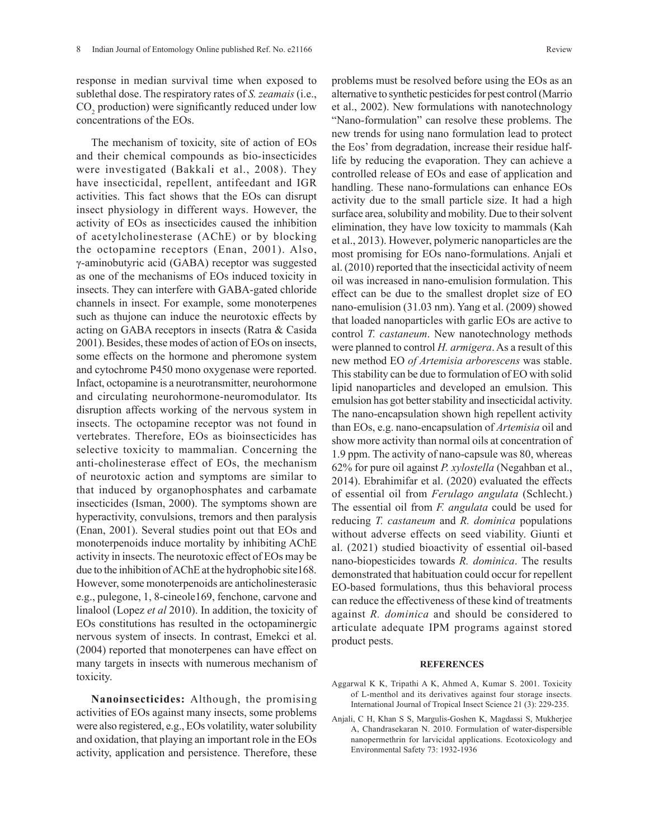response in median survival time when exposed to sublethal dose. The respiratory rates of *S. zeamais* (i.e.,  $CO<sub>2</sub>$  production) were significantly reduced under low concentrations of the EOs.

The mechanism of toxicity, site of action of EOs and their chemical compounds as bio-insecticides were investigated (Bakkali et al., 2008). They have insecticidal, repellent, antifeedant and IGR activities. This fact shows that the EOs can disrupt insect physiology in different ways. However, the activity of EOs as insecticides caused the inhibition of acetylcholinesterase (AChE) or by blocking the octopamine receptors (Enan, 2001). Also, γ-aminobutyric acid (GABA) receptor was suggested as one of the mechanisms of EOs induced toxicity in insects. They can interfere with GABA-gated chloride channels in insect. For example, some monoterpenes such as thujone can induce the neurotoxic effects by acting on GABA receptors in insects (Ratra & Casida 2001). Besides, these modes of action of EOs on insects, some effects on the hormone and pheromone system and cytochrome P450 mono oxygenase were reported. Infact, octopamine is a neurotransmitter, neurohormone and circulating neurohormone-neuromodulator. Its disruption affects working of the nervous system in insects. The octopamine receptor was not found in vertebrates. Therefore, EOs as bioinsecticides has selective toxicity to mammalian. Concerning the anti-cholinesterase effect of EOs, the mechanism of neurotoxic action and symptoms are similar to that induced by organophosphates and carbamate insecticides (Isman, 2000). The symptoms shown are hyperactivity, convulsions, tremors and then paralysis (Enan, 2001). Several studies point out that EOs and monoterpenoids induce mortality by inhibiting AChE activity in insects. The neurotoxic effect of EOs may be due to the inhibition of AChE at the hydrophobic site168. However, some monoterpenoids are anticholinesterasic e.g., pulegone, 1, 8-cineole169, fenchone, carvone and linalool (Lopez *et al* 2010). In addition, the toxicity of EOs constitutions has resulted in the octopaminergic nervous system of insects. In contrast, Emekci et al. (2004) reported that monoterpenes can have effect on many targets in insects with numerous mechanism of toxicity.

**Nanoinsecticides:** Although, the promising activities of EOs against many insects, some problems were also registered, e.g., EOs volatility, water solubility and oxidation, that playing an important role in the EOs activity, application and persistence. Therefore, these

problems must be resolved before using the EOs as an alternative to synthetic pesticides for pest control (Marrio et al., 2002). New formulations with nanotechnology "Nano-formulation" can resolve these problems. The new trends for using nano formulation lead to protect the Eos' from degradation, increase their residue halflife by reducing the evaporation. They can achieve a controlled release of EOs and ease of application and handling. These nano-formulations can enhance EOs activity due to the small particle size. It had a high surface area, solubility and mobility. Due to their solvent elimination, they have low toxicity to mammals (Kah et al., 2013). However, polymeric nanoparticles are the most promising for EOs nano-formulations. Anjali et al. (2010) reported that the insecticidal activity of neem oil was increased in nano-emulision formulation. This effect can be due to the smallest droplet size of EO nano-emulision (31.03 nm). Yang et al. (2009) showed that loaded nanoparticles with garlic EOs are active to control *T. castaneum*. New nanotechnology methods were planned to control *H. armigera*. As a result of this new method EO *of Artemisia arborescens* was stable. This stability can be due to formulation of EO with solid lipid nanoparticles and developed an emulsion. This emulsion has got better stability and insecticidal activity. The nano-encapsulation shown high repellent activity than EOs, e.g. nano-encapsulation of *Artemisia* oil and show more activity than normal oils at concentration of 1.9 ppm. The activity of nano-capsule was 80, whereas 62% for pure oil against *P. xylostella* (Negahban et al., 2014). Ebrahimifar et al. (2020) evaluated the effects of essential oil from *Ferulago angulata* (Schlecht.) The essential oil from *F. angulata* could be used for reducing *T. castaneum* and *R. dominica* populations without adverse effects on seed viability. Giunti et al. (2021) studied bioactivity of essential oil-based nano-biopesticides towards *R. dominica*. The results demonstrated that habituation could occur for repellent EO-based formulations, thus this behavioral process can reduce the effectiveness of these kind of treatments against *R. dominica* and should be considered to articulate adequate IPM programs against stored product pests.

#### **REFERENCES**

- Aggarwal K K, Tripathi A K, Ahmed A, Kumar S. 2001. Toxicity of L-menthol and its derivatives against four storage insects*.*  International Journal of Tropical Insect Science 21 (3): 229-235.
- Anjali, C H, Khan S S, Margulis-Goshen K, Magdassi S, Mukherjee A, Chandrasekaran N. 2010. Formulation of water-dispersible nanopermethrin for larvicidal applications. Ecotoxicology and Environmental Safety 73: 1932-1936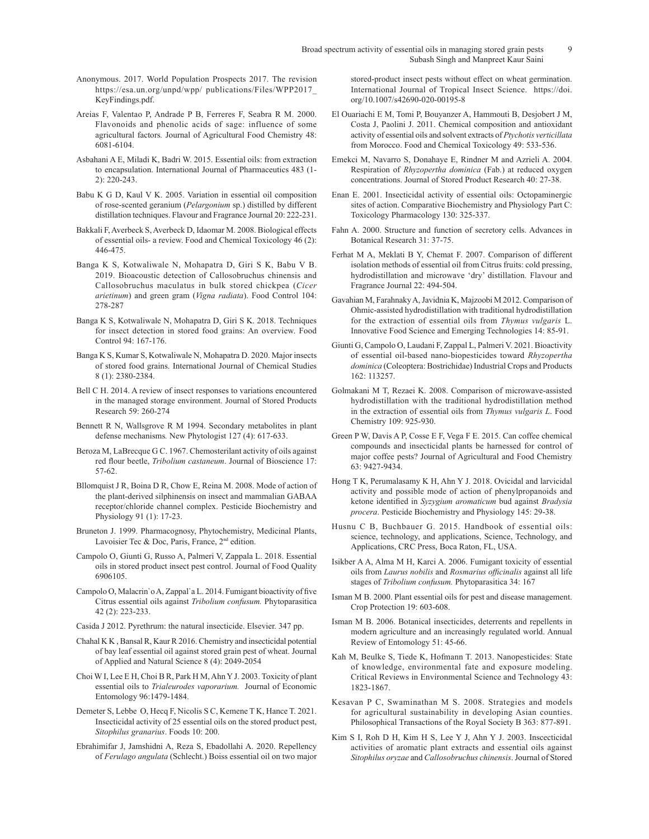- Anonymous. 2017. World Population Prospects 2017. The revision https://esa.un.org/unpd/wpp/ publications/Files/WPP2017\_ KeyFindings.pdf.
- Areias F, Valentao P, Andrade P B, Ferreres F, Seabra R M. 2000. Flavonoids and phenolic acids of sage: influence of some agricultural factors*.* Journal of Agricultural Food Chemistry 48: 6081-6104.
- Asbahani A E, Miladi K, Badri W. 2015. Essential oils: from extraction to encapsulation. International Journal of Pharmaceutics 483 (1- 2): 220-243.
- Babu K G D, Kaul V K. 2005. Variation in essential oil composition of rose-scented geranium (*Pelargonium* sp.) distilled by different distillation techniques. Flavour and Fragrance Journal 20: 222-231.
- Bakkali F, Averbeck S, Averbeck D, Idaomar M. 2008. Biological effects of essential oils- a review. Food and Chemical Toxicology 46 (2): 446-475.
- Banga K S, Kotwaliwale N, Mohapatra D, Giri S K, Babu V B. 2019. Bioacoustic detection of Callosobruchus chinensis and Callosobruchus maculatus in bulk stored chickpea (*Cicer arietinum*) and green gram (*Vigna radiata*). Food Control 104: 278-287
- Banga K S, Kotwaliwale N, Mohapatra D, Giri S K. 2018. Techniques for insect detection in stored food grains: An overview. Food Control 94: 167-176.
- Banga K S, Kumar S, Kotwaliwale N, Mohapatra D. 2020. Major insects of stored food grains. International Journal of Chemical Studies 8 (1): 2380-2384.
- Bell C H. 2014. A review of insect responses to variations encountered in the managed storage environment. Journal of Stored Products Research 59: 260-274
- Bennett R N, Wallsgrove R M 1994. Secondary metabolites in plant defense mechanisms*.* New Phytologist 127 (4): 617-633.
- Beroza M, LaBrecque G C. 1967. Chemosterilant activity of oils against red flour beetle, *Tribolium castaneum*. Journal of Bioscience 17: 57-62.
- Bllomquist J R, Boina D R, Chow E, Reina M. 2008. Mode of action of the plant-derived silphinensis on insect and mammalian GABAA receptor/chloride channel complex. Pesticide Biochemistry and Physiology 91 (1): 17-23.
- Bruneton J. 1999. Pharmacognosy, Phytochemistry, Medicinal Plants, Lavoisier Tec & Doc, Paris, France, 2<sup>nd</sup> edition.
- Campolo O, Giunti G, Russo A, Palmeri V, Zappala L. 2018. Essential oils in stored product insect pest control. Journal of Food Quality 6906105.
- Campolo O, Malacrin`o A, Zappal`a L. 2014. Fumigant bioactivity of five Citrus essential oils against *Tribolium confusum.* Phytoparasitica 42 (2): 223-233.
- Casida J 2012. Pyrethrum: the natural insecticide. Elsevier. 347 pp.
- Chahal K K , Bansal R, Kaur R 2016. Chemistry and insecticidal potential of bay leaf essential oil against stored grain pest of wheat. Journal of Applied and Natural Science 8 (4): 2049-2054
- Choi W I, Lee E H, Choi B R, Park H M, Ahn Y J. 2003. Toxicity of plant essential oils to *Trialeurodes vaporarium.* Journal of Economic Entomology 96:1479-1484.
- Demeter S, Lebbe O, Hecq F, Nicolis S C, Kemene T K, Hance T. 2021. Insecticidal activity of 25 essential oils on the stored product pest, *Sitophilus granarius*. Foods 10: 200.
- Ebrahimifar J, Jamshidni A, Reza S, Ebadollahi A. 2020. Repellency of *Ferulago angulata* (Schlecht.) Boiss essential oil on two major

stored-product insect pests without effect on wheat germination. International Journal of Tropical Insect Science. https://doi. org/10.1007/s42690-020-00195-8

- El Ouariachi E M, Tomi P, Bouyanzer A, Hammouti B, Desjobert J M, Costa J, Paolini J. 2011. Chemical composition and antioxidant activity of essential oils and solvent extracts of *Ptychotis verticillata* from Morocco. Food and Chemical Toxicology 49: 533-536.
- Emekci M, Navarro S, Donahaye E, Rindner M and Azrieli A. 2004. Respiration of *Rhyzopertha dominica* (Fab.) at reduced oxygen concentrations. Journal of Stored Product Research 40: 27-38.
- Enan E. 2001. Insecticidal activity of essential oils: Octopaminergic sites of action. Comparative Biochemistry and Physiology Part C: Toxicology Pharmacology 130: 325-337.
- Fahn A. 2000. Structure and function of secretory cells. Advances in Botanical Research 31: 37-75.
- Ferhat M A, Meklati B Y, Chemat F. 2007. Comparison of different isolation methods of essential oil from Citrus fruits: cold pressing, hydrodistillation and microwave 'dry' distillation. Flavour and Fragrance Journal 22: 494-504.
- Gavahian M, Farahnaky A, Javidnia K, Majzoobi M 2012. Comparison of Ohmic-assisted hydrodistillation with traditional hydrodistillation for the extraction of essential oils from *Thymus vulgaris* L. Innovative Food Science and Emerging Technologies 14: 85-91.
- Giunti G, Campolo O, Laudani F, Zappal L, Palmeri V. 2021. Bioactivity of essential oil-based nano-biopesticides toward *Rhyzopertha dominica* (Coleoptera: Bostrichidae) Industrial Crops and Products 162: 113257.
- Golmakani M T, Rezaei K. 2008. Comparison of microwave-assisted hydrodistillation with the traditional hydrodistillation method in the extraction of essential oils from *Thymus vulgaris L*. Food Chemistry 109: 925-930.
- Green P W, Davis A P, Cosse E F, Vega F E. 2015. Can coffee chemical compounds and insecticidal plants be harnessed for control of major coffee pests? Journal of Agricultural and Food Chemistry 63: 9427-9434.
- Hong T K, Perumalasamy K H, Ahn Y J. 2018. Ovicidal and larvicidal activity and possible mode of action of phenylpropanoids and ketone identified in *Syzygium aromaticum* bud against *Bradysia procera*. Pesticide Biochemistry and Physiology 145: 29-38.
- Husnu C B, Buchbauer G. 2015. Handbook of essential oils: science, technology, and applications, Science, Technology, and Applications, CRC Press, Boca Raton, FL, USA.
- Isikber A A, Alma M H, Karci A. 2006. Fumigant toxicity of essential oils from *Laurus nobilis* and *Rosmarius officinalis* against all life stages of *Tribolium confusum.* Phytoparasitica 34: 167
- Isman M B. 2000. Plant essential oils for pest and disease management. Crop Protection 19: 603-608.
- Isman M B. 2006. Botanical insecticides, deterrents and repellents in modern agriculture and an increasingly regulated world. Annual Review of Entomology 51: 45-66.
- Kah M, Beulke S, Tiede K, Hofmann T. 2013. Nanopesticides: State of knowledge, environmental fate and exposure modeling. Critical Reviews in Environmental Science and Technology 43: 1823-1867.
- Kesavan P C, Swaminathan M S. 2008. Strategies and models for agricultural sustainability in developing Asian counties. Philosophical Transactions of the Royal Society B 363: 877-891.
- Kim S I, Roh D H, Kim H S, Lee Y J, Ahn Y J. 2003. Inscecticidal activities of aromatic plant extracts and essential oils against *Sitophilus oryzae* and *Callosobruchus chinensis*. Journal of Stored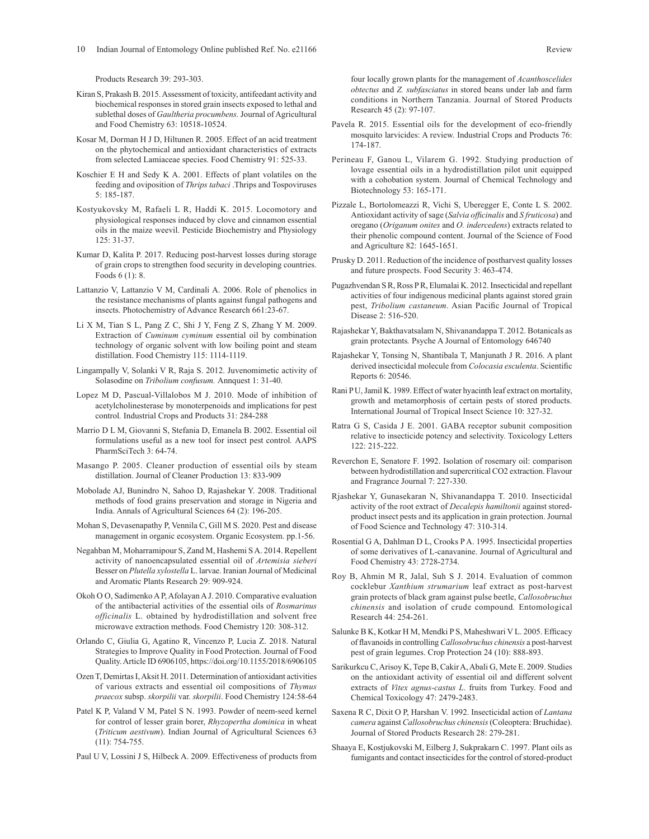Products Research 39: 293-303.

- Kiran S, Prakash B. 2015. Assessment of toxicity, antifeedant activity and biochemical responses in stored grain insects exposed to lethal and sublethal doses of *Gaultheria procumbens.* Journal of Agricultural and Food Chemistry 63: 10518-10524.
- Kosar M, Dorman H J D, Hiltunen R. 2005. Effect of an acid treatment on the phytochemical and antioxidant characteristics of extracts from selected Lamiaceae species. Food Chemistry 91: 525-33.
- Koschier E H and Sedy K A. 2001. Effects of plant volatiles on the feeding and oviposition of *Thrips tabaci* .Thrips and Tospoviruses 5: 185-187.
- Kostyukovsky M, Rafaeli L R, Haddi K. 2015. Locomotory and physiological responses induced by clove and cinnamon essential oils in the maize weevil. Pesticide Biochemistry and Physiology 125: 31-37.
- Kumar D, Kalita P. 2017. Reducing post-harvest losses during storage of grain crops to strengthen food security in developing countries. Foods 6 (1): 8.
- Lattanzio V, Lattanzio V M, Cardinali A. 2006. Role of phenolics in the resistance mechanisms of plants against fungal pathogens and insects. Photochemistry of Advance Research 661:23-67.
- Li X M, Tian S L, Pang Z C, Shi J Y, Feng Z S, Zhang Y M. 2009. Extraction of *Cuminum cyminum* essential oil by combination technology of organic solvent with low boiling point and steam distillation. Food Chemistry 115: 1114-1119.
- Lingampally V, Solanki V R, Raja S. 2012. Juvenomimetic activity of Solasodine on *Tribolium confusum.* Annquest 1: 31-40.
- Lopez M D, Pascual-Villalobos M J. 2010. Mode of inhibition of acetylcholinesterase by monoterpenoids and implications for pest control*.* Industrial Crops and Products 31: 284-288
- Marrio D L M, Giovanni S, Stefania D, Emanela B. 2002. Essential oil formulations useful as a new tool for insect pest control*.* AAPS PharmSciTech 3: 64-74.
- Masango P. 2005. Cleaner production of essential oils by steam distillation. Journal of Cleaner Production 13: 833-909
- Mobolade AJ, Bunindro N, Sahoo D, Rajashekar Y. 2008. Traditional methods of food grains preservation and storage in Nigeria and India. Annals of Agricultural Sciences 64 (2): 196-205.
- Mohan S, Devasenapathy P, Vennila C, Gill M S. 2020. Pest and disease management in organic ecosystem. Organic Ecosystem. pp.1-56.
- Negahban M, Moharramipour S, Zand M, Hashemi S A. 2014. Repellent activity of nanoencapsulated essential oil of *Artemisia sieberi* Besser on *Plutella xylostella* L. larvae. Iranian Journal of Medicinal and Aromatic Plants Research 29: 909-924.
- Okoh O O, Sadimenko A P, Afolayan A J. 2010. Comparative evaluation of the antibacterial activities of the essential oils of *Rosmarinus officinalis* L. obtained by hydrodistillation and solvent free microwave extraction methods. Food Chemistry 120: 308-312.
- Orlando C, Giulia G, Agatino R, Vincenzo P, Lucia Z. 2018. Natural Strategies to Improve Quality in Food Protection. Journal of Food Quality. Article ID 6906105, https://doi.org/10.1155/2018/6906105
- Ozen T, Demirtas I, Aksit H. 2011. Determination of antioxidant activities of various extracts and essential oil compositions of *Thymus praecox* subsp. *skorpilii* var. *skorpilii*. Food Chemistry 124:58-64
- Patel K P, Valand V M, Patel S N. 1993. Powder of neem-seed kernel for control of lesser grain borer, *Rhyzopertha dominica* in wheat (*Triticum aestivum*). Indian Journal of Agricultural Sciences 63 (11): 754-755.
- Paul U V, Lossini J S, Hilbeck A. 2009. Effectiveness of products from

four locally grown plants for the management of *Acanthoscelides obtectus* and *Z. subfasciatus* in stored beans under lab and farm conditions in Northern Tanzania. Journal of Stored Products Research 45 (2): 97-107.

- Pavela R. 2015. Essential oils for the development of eco-friendly mosquito larvicides: A review. Industrial Crops and Products 76: 174-187.
- Perineau F, Ganou L, Vilarem G. 1992. Studying production of lovage essential oils in a hydrodistillation pilot unit equipped with a cohobation system. Journal of Chemical Technology and Biotechnology 53: 165-171.
- Pizzale L, Bortolomeazzi R, Vichi S, Uberegger E, Conte L S. 2002. Antioxidant activity of sage (*Salvia officinalis* and *S fruticosa*) and oregano (*Origanum onites* and *O. indercedens*) extracts related to their phenolic compound content. Journal of the Science of Food and Agriculture 82: 1645-1651.
- Prusky D. 2011. Reduction of the incidence of postharvest quality losses and future prospects. Food Security 3: 463-474.
- Pugazhvendan S R, Ross P R, Elumalai K. 2012. Insecticidal and repellant activities of four indigenous medicinal plants against stored grain pest, *Tribolium castaneum*. Asian Pacific Journal of Tropical Disease 2: 516-520.
- Rajashekar Y, Bakthavatsalam N, Shivanandappa T. 2012. Botanicals as grain protectants*.* Psyche A Journal of Entomology 646740
- Rajashekar Y, Tonsing N, Shantibala T, Manjunath J R. 2016. A plant derived insecticidal molecule from *Colocasia esculenta*. Scientific Reports 6: 20546.
- Rani P U, Jamil K. 1989. Effect of water hyacinth leaf extract on mortality, growth and metamorphosis of certain pests of stored products. International Journal of Tropical Insect Science 10: 327-32.
- Ratra G S, Casida J E. 2001. GABA receptor subunit composition relative to insecticide potency and selectivity. Toxicology Letters 122: 215-222.
- Reverchon E, Senatore F. 1992. Isolation of rosemary oil: comparison between hydrodistillation and supercritical CO2 extraction. Flavour and Fragrance Journal 7: 227-330.
- Rjashekar Y, Gunasekaran N, Shivanandappa T. 2010. Insecticidal activity of the root extract of *Decalepis hamiltonii* against storedproduct insect pests and its application in grain protection. Journal of Food Science and Technology 47: 310-314.
- Rosential G A, Dahlman D L, Crooks P A. 1995. Insecticidal properties of some derivatives of L-canavanine. Journal of Agricultural and Food Chemistry 43: 2728-2734.
- Roy B, Ahmin M R, Jalal, Suh S J. 2014. Evaluation of common cocklebur *Xanthium strumarium* leaf extract as post-harvest grain protects of black gram against pulse beetle, *Callosobruchus chinensis* and isolation of crude compound*.* Entomological Research 44: 254-261.
- Salunke B K, Kotkar H M, Mendki P S, Maheshwari V L. 2005. Efficacy of flavanoids in controlling *Callosobruchus chinensis* a post-harvest pest of grain legumes. Crop Protection 24 (10): 888-893.
- Sarikurkcu C, Arisoy K, Tepe B, Cakir A, Abali G, Mete E. 2009. Studies on the antioxidant activity of essential oil and different solvent extracts of *Vitex agnus-castus L*. fruits from Turkey. Food and Chemical Toxicology 47: 2479-2483.
- Saxena R C, Dixit O P, Harshan V. 1992. Insecticidal action of *Lantana camera* against *Callosobruchus chinensis* (Coleoptera: Bruchidae). Journal of Stored Products Research 28: 279-281.
- Shaaya E, Kostjukovski M, Eilberg J, Sukprakarn C. 1997. Plant oils as fumigants and contact insecticides for the control of stored-product